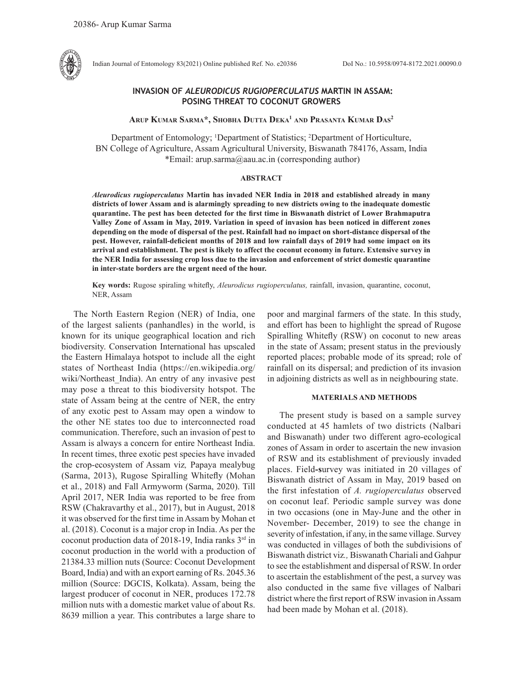

Indian Journal of Entomology 83(2021) Online published Ref. No. e20386 DoI No.: 10.5958/0974-8172.2021.00090.0

## **INVASION OF** *ALEURODICUS RUGIOPERCULATUS* **MARTIN IN ASSAM: POSING THREAT TO COCONUT GROWERS**

#### **Arup Kumar Sarma\*, Shobha Dutta Deka1 and Prasanta Kumar Das2**

Department of Entomology; <sup>1</sup>Department of Statistics; <sup>2</sup>Department of Horticulture, BN College of Agriculture, Assam Agricultural University, Biswanath 784176, Assam, India \*Email: arup.sarma@aau.ac.in (corresponding author)

### **ABSTRACT**

*Aleurodicus rugioperculatus* **Martin has invaded NER India in 2018 and established already in many districts of lower Assam and is alarmingly spreading to new districts owing to the inadequate domestic quarantine. The pest has been detected for the first time in Biswanath district of Lower Brahmaputra Valley Zone of Assam in May, 2019. Variation in speed of invasion has been noticed in different zones depending on the mode of dispersal of the pest. Rainfall had no impact on short-distance dispersal of the pest. However, rainfall-deficient months of 2018 and low rainfall days of 2019 had some impact on its arrival and establishment. The pest is likely to affect the coconut economy in future. Extensive survey in the NER India for assessing crop loss due to the invasion and enforcement of strict domestic quarantine in inter-state borders are the urgent need of the hour.** 

**Key words:** Rugose spiraling whitefly, *Aleurodicus rugioperculatus,* rainfall, invasion, quarantine, coconut, NER, Assam

The North Eastern Region (NER) of India, one of the largest salients (panhandles) in the world, is known for its unique geographical location and rich biodiversity. Conservation International has upscaled the Eastern Himalaya hotspot to include all the eight states of Northeast India (https://en.wikipedia.org/ wiki/Northeast India). An entry of any invasive pest may pose a threat to this biodiversity hotspot. The state of Assam being at the centre of NER, the entry of any exotic pest to Assam may open a window to the other NE states too due to interconnected road communication. Therefore, such an invasion of pest to Assam is always a concern for entire Northeast India. In recent times, three exotic pest species have invaded the crop-ecosystem of Assam viz*,* Papaya mealybug (Sarma, 2013), Rugose Spiralling Whitefly (Mohan et al., 2018) and Fall Armyworm (Sarma, 2020). Till April 2017, NER India was reported to be free from RSW (Chakravarthy et al., 2017), but in August, 2018 it was observed for the first time in Assam by Mohan et al. (2018). Coconut is a major crop in India. As per the coconut production data of 2018-19, India ranks 3rd in coconut production in the world with a production of 21384.33 million nuts (Source: Coconut Development Board, India) and with an export earning of Rs. 2045.36 million (Source: DGCIS, Kolkata). Assam, being the largest producer of coconut in NER, produces 172.78 million nuts with a domestic market value of about Rs. 8639 million a year. This contributes a large share to

poor and marginal farmers of the state. In this study, and effort has been to highlight the spread of Rugose Spiralling Whitefly (RSW) on coconut to new areas in the state of Assam; present status in the previously reported places; probable mode of its spread; role of rainfall on its dispersal; and prediction of its invasion in adjoining districts as well as in neighbouring state.

### **MATERIALS AND METHODS**

The present study is based on a sample survey conducted at 45 hamlets of two districts (Nalbari and Biswanath) under two different agro-ecological zones of Assam in order to ascertain the new invasion of RSW and its establishment of previously invaded places. Field**-s**urvey was initiated in 20 villages of Biswanath district of Assam in May, 2019 based on the first infestation of *A. rugioperculatus* observed on coconut leaf. Periodic sample survey was done in two occasions (one in May-June and the other in November- December, 2019) to see the change in severity of infestation, if any, in the same village. Survey was conducted in villages of both the subdivisions of Biswanath district viz*.,* Biswanath Chariali and Gahpur to see the establishment and dispersal of RSW. In order to ascertain the establishment of the pest, a survey was also conducted in the same five villages of Nalbari district where the first report of RSW invasion in Assam had been made by Mohan et al. (2018).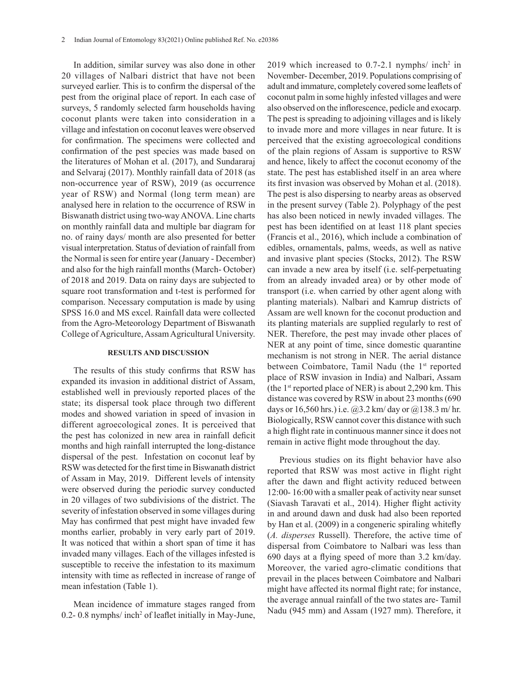In addition, similar survey was also done in other 20 villages of Nalbari district that have not been surveyed earlier. This is to confirm the dispersal of the pest from the original place of report. In each case of surveys, 5 randomly selected farm households having coconut plants were taken into consideration in a village and infestation on coconut leaves were observed for confirmation. The specimens were collected and confirmation of the pest species was made based on the literatures of Mohan et al. (2017), and Sundararaj and Selvaraj (2017). Monthly rainfall data of 2018 (as non-occurrence year of RSW), 2019 (as occurrence year of RSW) and Normal (long term mean) are analysed here in relation to the occurrence of RSW in Biswanath district using two-way ANOVA. Line charts on monthly rainfall data and multiple bar diagram for no. of rainy days/ month are also presented for better visual interpretation. Status of deviation of rainfall from the Normal is seen for entire year (January - December) and also for the high rainfall months (March- October) of 2018 and 2019. Data on rainy days are subjected to square root transformation and t-test is performed for comparison. Necessary computation is made by using SPSS 16.0 and MS excel. Rainfall data were collected from the Agro-Meteorology Department of Biswanath College of Agriculture, Assam Agricultural University.

## **RESULTS AND DISCUSSION**

The results of this study confirms that RSW has expanded its invasion in additional district of Assam, established well in previously reported places of the state; its dispersal took place through two different modes and showed variation in speed of invasion in different agroecological zones. It is perceived that the pest has colonized in new area in rainfall deficit months and high rainfall interrupted the long-distance dispersal of the pest. Infestation on coconut leaf by RSW was detected for the first time in Biswanath district of Assam in May, 2019. Different levels of intensity were observed during the periodic survey conducted in 20 villages of two subdivisions of the district. The severity of infestation observed in some villages during May has confirmed that pest might have invaded few months earlier, probably in very early part of 2019. It was noticed that within a short span of time it has invaded many villages. Each of the villages infested is susceptible to receive the infestation to its maximum intensity with time as reflected in increase of range of mean infestation (Table 1).

Mean incidence of immature stages ranged from 0.2-0.8 nymphs/ inch<sup>2</sup> of leaflet initially in May-June,

2019 which increased to  $0.7$ -2.1 nymphs/ inch<sup>2</sup> in November- December, 2019. Populations comprising of adult and immature, completely covered some leaflets of coconut palm in some highly infested villages and were also observed on the inflorescence, pedicle and exocarp. The pest is spreading to adjoining villages and is likely to invade more and more villages in near future. It is perceived that the existing agroecological conditions of the plain regions of Assam is supportive to RSW and hence, likely to affect the coconut economy of the state. The pest has established itself in an area where its first invasion was observed by Mohan et al. (2018). The pest is also dispersing to nearby areas as observed in the present survey (Table 2). Polyphagy of the pest has also been noticed in newly invaded villages. The pest has been identified on at least 118 plant species (Francis et al., 2016), which include a combination of edibles, ornamentals, palms, weeds, as well as native and invasive plant species (Stocks, 2012). The RSW can invade a new area by itself (i.e. self-perpetuating from an already invaded area) or by other mode of transport (i.e. when carried by other agent along with planting materials). Nalbari and Kamrup districts of Assam are well known for the coconut production and its planting materials are supplied regularly to rest of NER. Therefore, the pest may invade other places of NER at any point of time, since domestic quarantine mechanism is not strong in NER. The aerial distance between Coimbatore, Tamil Nadu (the 1<sup>st</sup> reported place of RSW invasion in India) and Nalbari, Assam (the 1<sup>st</sup> reported place of NER) is about 2,290 km. This distance was covered by RSW in about 23 months (690 days or 16,560 hrs.) i.e. @3.2 km/ day or @138.3 m/ hr. Biologically, RSW cannot cover this distance with such a high flight rate in continuous manner since it does not remain in active flight mode throughout the day.

Previous studies on its flight behavior have also reported that RSW was most active in flight right after the dawn and flight activity reduced between 12:00- 16:00 with a smaller peak of activity near sunset (Siavash Taravati et al., 2014). Higher flight activity in and around dawn and dusk had also been reported by Han et al. (2009) in a congeneric spiraling whitefly (*A. disperses* Russell). Therefore, the active time of dispersal from Coimbatore to Nalbari was less than 690 days at a flying speed of more than 3.2 km/day. Moreover, the varied agro-climatic conditions that prevail in the places between Coimbatore and Nalbari might have affected its normal flight rate; for instance, the average annual rainfall of the two states are- Tamil Nadu (945 mm) and Assam (1927 mm). Therefore, it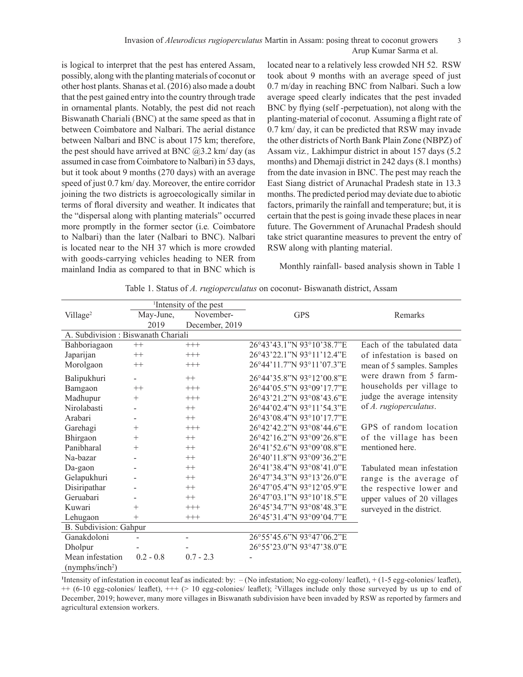# Invasion of *Aleurodicus rugioperculatus* Martin in Assam: posing threat to coconut growers 3 Arup Kumar Sarma et al.

is logical to interpret that the pest has entered Assam, possibly, along with the planting materials of coconut or other host plants. Shanas et al. (2016) also made a doubt that the pest gained entry into the country through trade in ornamental plants. Notably, the pest did not reach Biswanath Chariali (BNC) at the same speed as that in between Coimbatore and Nalbari. The aerial distance between Nalbari and BNC is about 175 km; therefore, the pest should have arrived at BNC  $(2,3.2 \text{ km}/\text{ day})$  (as assumed in case from Coimbatore to Nalbari) in 53 days, but it took about 9 months (270 days) with an average speed of just 0.7 km/ day. Moreover, the entire corridor joining the two districts is agroecologically similar in terms of floral diversity and weather. It indicates that the "dispersal along with planting materials" occurred more promptly in the former sector (i.e*.* Coimbatore to Nalbari) than the later (Nalbari to BNC). Nalbari is located near to the NH 37 which is more crowded with goods-carrying vehicles heading to NER from mainland India as compared to that in BNC which is located near to a relatively less crowded NH 52. RSW took about 9 months with an average speed of just 0.7 m/day in reaching BNC from Nalbari. Such a low average speed clearly indicates that the pest invaded BNC by flying (self -perpetuation), not along with the planting-material of coconut. Assuming a flight rate of 0.7 km/ day, it can be predicted that RSW may invade the other districts of North Bank Plain Zone (NBPZ) of Assam viz*.,* Lakhimpur district in about 157 days (5.2 months) and Dhemaji district in 242 days (8.1 months) from the date invasion in BNC. The pest may reach the East Siang district of Arunachal Pradesh state in 13.3 months. The predicted period may deviate due to abiotic factors, primarily the rainfall and temperature; but, it is certain that the pest is going invade these places in near future. The Government of Arunachal Pradesh should take strict quarantine measures to prevent the entry of RSW along with planting material.

Monthly rainfall- based analysis shown in Table 1

| <sup>1</sup> Intensity of the pest |             |                |                           |                             |
|------------------------------------|-------------|----------------|---------------------------|-----------------------------|
| Village <sup>2</sup>               | May-June,   | November-      | <b>GPS</b>                | Remarks                     |
|                                    | 2019        | December, 2019 |                           |                             |
| A. Subdivision: Biswanath Chariali |             |                |                           |                             |
| Bahboriagaon                       | $++$        | $+++$          | 26°43'43.1"N 93°10'38.7"E | Each of the tabulated data  |
| Japarijan                          | $++$        | $+++$          | 26°43'22.1"N 93°11'12.4"E | of infestation is based on  |
| Morolgaon                          | $++$        | $+++$          | 26°44'11.7"N 93°11'07.3"E | mean of 5 samples. Samples  |
| Balipukhuri                        |             | $++$           | 26°44'35.8"N 93°12'00.8"E | were drawn from 5 farm-     |
| Bamgaon                            | $++$        | $+++$          | 26°44'05.5"N 93°09'17.7"E | households per village to   |
| Madhupur                           | $+$         | $+++$          | 26°43'21.2"N 93°08'43.6"E | judge the average intensity |
| Nirolabasti                        |             | $^{++}$        | 26°44'02.4"N 93°11'54.3"E | of A. rugioperculatus.      |
| Arabari                            |             | $^{++}$        | 26°43'08.4"N 93°10'17.7"E |                             |
| Garehagi                           | $^{+}$      | $+++$          | 26°42'42.2"N 93°08'44.6"E | GPS of random location      |
| Bhirgaon                           | $^{+}$      | $++$           | 26°42'16.2"N 93°09'26.8"E | of the village has been     |
| Panibharal                         | $^{+}$      | $^{++}$        | 26°41'52.6"N 93°09'08.8"E | mentioned here.             |
| Na-bazar                           |             | $^{++}$        | 26°40'11.8"N 93°09'36.2"E |                             |
| Da-gaon                            |             | $^{++}$        | 26°41'38.4"N 93°08'41.0"E | Tabulated mean infestation  |
| Gelapukhuri                        |             | $^{++}$        | 26°47'34.3"N 93°13'26.0"E | range is the average of     |
| Disiripathar                       |             | $^{++}$        | 26°47'05.4"N 93°12'05.9"E | the respective lower and    |
| Geruabari                          |             | $^{++}$        | 26°47'03.1"N 93°10'18.5"E | upper values of 20 villages |
| Kuwari                             | $^{+}$      | $^{+++}$       | 26°45'34.7"N 93°08'48.3"E | surveyed in the district.   |
| Lehugaon                           | $^{+}$      | $^{+++}$       | 26°45'31.4"N 93°09'04.7"E |                             |
| <b>B.</b> Subdivision: Gahpur      |             |                |                           |                             |
| Ganakdoloni                        |             | $\overline{a}$ | 26°55'45.6"N 93°47'06.2"E |                             |
| Dholpur                            |             |                | 26°55'23.0"N 93°47'38.0"E |                             |
| Mean infestation                   | $0.2 - 0.8$ | $0.7 - 2.3$    |                           |                             |
| (nymphs/inch <sup>2</sup> )        |             |                |                           |                             |

Table 1. Status of *A. rugioperculatus* on coconut- Biswanath district, Assam

**1** Intensity of infestation in coconut leaf as indicated: by: – (No infestation; No egg-colony/ leaflet), + (1-5 egg-colonies/ leaflet), ++ (6-10 egg-colonies/ leaflet), +++ (> 10 egg-colonies/ leaflet); <sup>2</sup> Villages include only those surveyed by us up to end of December, 2019; however, many more villages in Biswanath subdivision have been invaded by RSW as reported by farmers and agricultural extension workers.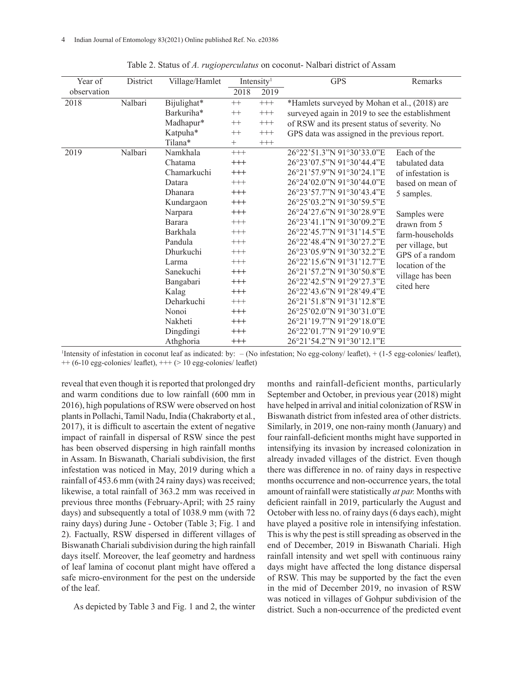| Year of     | District | Village/Hamlet                                                                   | Intensity <sup>1</sup> |          | <b>GPS</b>                                      | Remarks                                                              |  |  |
|-------------|----------|----------------------------------------------------------------------------------|------------------------|----------|-------------------------------------------------|----------------------------------------------------------------------|--|--|
| observation |          |                                                                                  | 2018                   | 2019     |                                                 |                                                                      |  |  |
| 2018        | Nalbari  | Bijulighat*                                                                      | $++$                   | $^{+++}$ | *Hamlets surveyed by Mohan et al., (2018) are   |                                                                      |  |  |
|             |          | Barkuriha*                                                                       | $++$                   | $^{+++}$ | surveyed again in 2019 to see the establishment |                                                                      |  |  |
|             |          | Madhapur*                                                                        | $^{++}$                | $^{+++}$ | of RSW and its present status of severity. No   |                                                                      |  |  |
|             |          | Katpuha*<br>$^{++}$<br>$^{+++}$<br>GPS data was assigned in the previous report. |                        |          |                                                 |                                                                      |  |  |
|             |          | Tilana*                                                                          | $^{+}$                 | $+++$    |                                                 |                                                                      |  |  |
| 2019        | Nalbari  | Namkhala                                                                         | $+++$                  |          | 26°22'51.3"N 91°30'33.0"E                       | Each of the                                                          |  |  |
|             |          | Chatama                                                                          | $^{+++}$               |          | 26°23'07.5"N 91°30'44.4"E                       | tabulated data                                                       |  |  |
|             |          | Chamarkuchi                                                                      | $^{+++}$               |          | 26°21'57.9"N 91°30'24.1"E                       | of infestation is                                                    |  |  |
|             |          | Datara                                                                           | $^{+++}$               |          | 26°24'02.0"N 91°30'44.0"E                       | based on mean of                                                     |  |  |
|             |          | <b>Dhanara</b>                                                                   | $^{+++}$               |          | 26°23'57.7"N 91°30'43.4"E                       | 5 samples.                                                           |  |  |
|             |          | Kundargaon                                                                       | $^{+++}$               |          | 26°25'03.2"N 91°30'59.5"E                       | Samples were<br>drawn from 5<br>farm-households<br>per village, but  |  |  |
|             |          | Narpara                                                                          | $^{+++}$               |          | 26°24'27.6"N 91°30'28.9"E                       |                                                                      |  |  |
|             |          | <b>Barara</b>                                                                    | $^{+++}$               |          | 26°23'41.1"N 91°30'09.2"E                       |                                                                      |  |  |
|             |          | Barkhala                                                                         | $^{+++}$               |          | 26°22'45.7"N 91°31'14.5"E                       |                                                                      |  |  |
|             |          | Pandula                                                                          | $^{+++}$               |          | 26°22'48.4"N 91°30'27.2"E                       |                                                                      |  |  |
|             |          | Dhurkuchi                                                                        | $^{+++}$               |          | 26°23'05.9"N 91°30'32.2"E                       | GPS of a random<br>location of the<br>village has been<br>cited here |  |  |
|             |          | Larma                                                                            | $^{+++}$               |          | 26°22'15.6"N 91°31'12.7"E                       |                                                                      |  |  |
|             |          | Sanekuchi                                                                        | $^{+++}$               |          | 26°21'57.2"N 91°30'50.8"E                       |                                                                      |  |  |
|             |          | Bangabari                                                                        | $^{+++}$               |          | 26°22'42.5"N 91°29'27.3"E                       |                                                                      |  |  |
|             |          | Kalag                                                                            | $^{+++}$               |          | 26°22'43.6"N 91°28'49.4"E                       |                                                                      |  |  |
|             |          | Deharkuchi                                                                       | $^{+++}$               |          | 26°21'51.8"N 91°31'12.8"E                       |                                                                      |  |  |
|             |          | Nonoi                                                                            | $^{+++}$               |          | 26°25'02.0"N 91°30'31.0"E                       |                                                                      |  |  |
|             |          | Nakheti                                                                          | $^{+++}$               |          | 26°21'19.7"N 91°29'18.0"E                       |                                                                      |  |  |
|             |          | Dingdingi                                                                        | $^{+++}$               |          | 26°22'01.7"N 91°29'10.9"E                       |                                                                      |  |  |
|             |          | Athghoria                                                                        | $^{+++}$               |          | 26°21'54.2"N 91°30'12.1"E                       |                                                                      |  |  |

Table 2. Status of *A. rugioperculatus* on coconut- Nalbari district of Assam

1 Intensity of infestation in coconut leaf as indicated: by: – (No infestation; No egg-colony/ leaflet), + (1-5 egg-colonies/ leaflet),  $++$  (6-10 egg-colonies/ leaflet),  $++$  ( $>$  10 egg-colonies/ leaflet)

reveal that even though it is reported that prolonged dry and warm conditions due to low rainfall (600 mm in 2016), high populations of RSW were observed on host plants in Pollachi, Tamil Nadu, India (Chakraborty et al*.*, 2017), it is difficult to ascertain the extent of negative impact of rainfall in dispersal of RSW since the pest has been observed dispersing in high rainfall months in Assam. In Biswanath, Chariali subdivision, the first infestation was noticed in May, 2019 during which a rainfall of 453.6 mm (with 24 rainy days) was received; likewise, a total rainfall of 363.2 mm was received in previous three months (February-April; with 25 rainy days) and subsequently a total of 1038.9 mm (with 72 rainy days) during June - October (Table 3; Fig. 1 and 2). Factually, RSW dispersed in different villages of Biswanath Chariali subdivision during the high rainfall days itself. Moreover, the leaf geometry and hardness of leaf lamina of coconut plant might have offered a safe micro-environment for the pest on the underside of the leaf.

As depicted by Table 3 and Fig. 1 and 2, the winter

months and rainfall-deficient months, particularly September and October, in previous year (2018) might have helped in arrival and initial colonization of RSW in Biswanath district from infested area of other districts. Similarly, in 2019, one non-rainy month (January) and four rainfall-deficient months might have supported in intensifying its invasion by increased colonization in already invaded villages of the district. Even though there was difference in no. of rainy days in respective months occurrence and non-occurrence years, the total amount of rainfall were statistically *at par.* Months with deficient rainfall in 2019, particularly the August and October with less no. of rainy days (6 days each), might have played a positive role in intensifying infestation. This is why the pest is still spreading as observed in the end of December, 2019 in Biswanath Chariali. High rainfall intensity and wet spell with continuous rainy days might have affected the long distance dispersal of RSW. This may be supported by the fact the even in the mid of December 2019, no invasion of RSW was noticed in villages of Gohpur subdivision of the district. Such a non-occurrence of the predicted event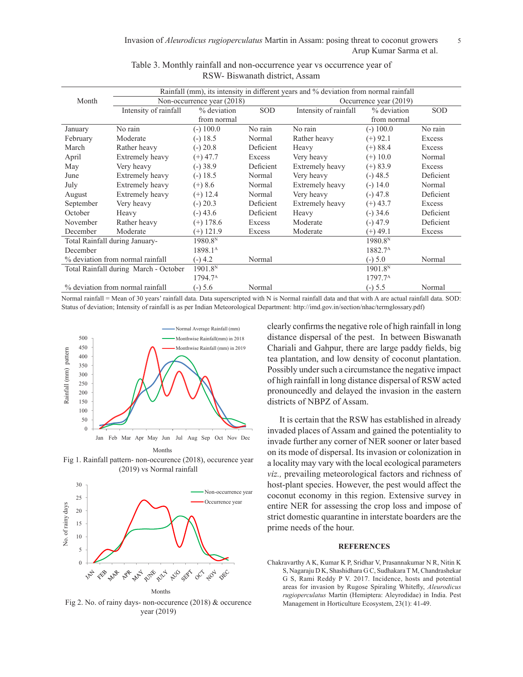| Rainfall (mm), its intensity in different years and % deviation from normal rainfall |                        |                            |           |                        |                     |           |  |  |
|--------------------------------------------------------------------------------------|------------------------|----------------------------|-----------|------------------------|---------------------|-----------|--|--|
| Month                                                                                |                        | Non-occurrence year (2018) |           | Occurrence year (2019) |                     |           |  |  |
|                                                                                      | Intensity of rainfall  | % deviation                | SOD       | Intensity of rainfall  | % deviation         | SOD       |  |  |
|                                                                                      |                        | from normal                |           | from normal            |                     |           |  |  |
| January                                                                              | No rain                | $(-)$ 100.0                | No rain   | No rain                | $(-) 100.0$         | No rain   |  |  |
| February                                                                             | Moderate               | $(-)$ 18.5                 | Normal    | Rather heavy           | $(+)$ 92.1          | Excess    |  |  |
| March                                                                                | Rather heavy           | $(-) 20.8$                 | Deficient | Heavy                  | $(+)$ 88.4          | Excess    |  |  |
| April                                                                                | Extremely heavy        | $(+) 47.7$                 | Excess    | Very heavy             | $(+)$ 10.0          | Normal    |  |  |
| May                                                                                  | Very heavy             | $(-)38.9$                  | Deficient | Extremely heavy        | $(+) 83.9$          | Excess    |  |  |
| June                                                                                 | <b>Extremely heavy</b> | $(-) 18.5$                 | Normal    | Very heavy             | $(-)48.5$           | Deficient |  |  |
| July                                                                                 | <b>Extremely heavy</b> | $(+)$ 8.6                  | Normal    | Extremely heavy        | $(-) 14.0$          | Normal    |  |  |
| August                                                                               | Extremely heavy        | $(+)$ 12.4                 | Normal    | Very heavy             | $(-)$ 47.8          | Deficient |  |  |
| September                                                                            | Very heavy             | $(-) 20.3$                 | Deficient | Extremely heavy        | $(+) 43.7$          | Excess    |  |  |
| October                                                                              | Heavy                  | $(-)43.6$                  | Deficient | Heavy                  | $(-)$ 34.6          | Deficient |  |  |
| November                                                                             | Rather heavy           | $(+)$ 178.6                | Excess    | Moderate               | $(-)$ 47.9          | Deficient |  |  |
| December                                                                             | Moderate               | $(+)$ 121.9                | Excess    | Moderate               | $(+) 49.1$          | Excess    |  |  |
| Total Rainfall during January-                                                       |                        | 1980.8 <sup>N</sup>        |           |                        | 1980.8 <sup>N</sup> |           |  |  |
| December                                                                             |                        | 1898.1 <sup>A</sup>        |           |                        | 1882.7 <sup>A</sup> |           |  |  |
| % deviation from normal rainfall                                                     |                        | $(-)$ 4.2                  | Normal    |                        | $(-) 5.0$           | Normal    |  |  |
| Total Rainfall during March - October                                                |                        | 1901.8 <sup>N</sup>        |           |                        | 1901.8 <sup>N</sup> |           |  |  |
|                                                                                      |                        | 1794.7 <sup>A</sup>        |           |                        | 1797.7 <sup>A</sup> |           |  |  |
| % deviation from normal rainfall                                                     |                        | $(-) 5.6$                  | Normal    |                        | $(-) 5.5$           | Normal    |  |  |

# Table 3. Monthly rainfall and non-occurrence year vs occurrence year of RSW- Biswanath district, Assam

Normal rainfall = Mean of 30 years' rainfall data. Data superscripted with N is Normal rainfall data and that with A are actual rainfall data. SOD: Status of deviation; Intensity of rainfall is as per Indian Meteorological Department: http://imd.gov.in/section/nhac/termglossary.pdf) 400



Fig 1. Rainfall pattern- non-occurence (2018), occurence year (2019) vs Normal rainfall



Fig 2. No. of rainy days- non-occurence (2018) & occurence year (2019)

clearly confirms the negative role of high rainfall in long distance dispersal of the pest. In between Biswanath Chariali and Gahpur, there are large paddy fields, big tea plantation, and low density of coconut plantation. Possibly under such a circumstance the negative impact of high rainfall in long distance dispersal of RSW acted pronouncedly and delayed the invasion in the eastern districts of NBPZ of Assam.

It is certain that the RSW has established in already invaded places of Assam and gained the potentiality to invade further any corner of NER sooner or later based on its mode of dispersal. Its invasion or colonization in a locality may vary with the local ecological parameters *viz.,* prevailing meteorological factors and richness of host-plant species. However, the pest would affect the coconut economy in this region. Extensive survey in entire NER for assessing the crop loss and impose of strict domestic quarantine in interstate boarders are the prime needs of the hour.

#### **REFERENCES**

Chakravarthy A K, Kumar K P, Sridhar V, Prasannakumar N R, Nitin K S, Nagaraju D K, Shashidhara G C, Sudhakara T M, Chandrashekar G S, Rami Reddy P V. 2017. Incidence, hosts and potential areas for invasion by Rugose Spiraling Whitefly, *Aleurodicus rugioperculatus* Martin (Hemiptera: Aleyrodidae) in India. Pest Management in Horticulture Ecosystem, 23(1): 41-49.